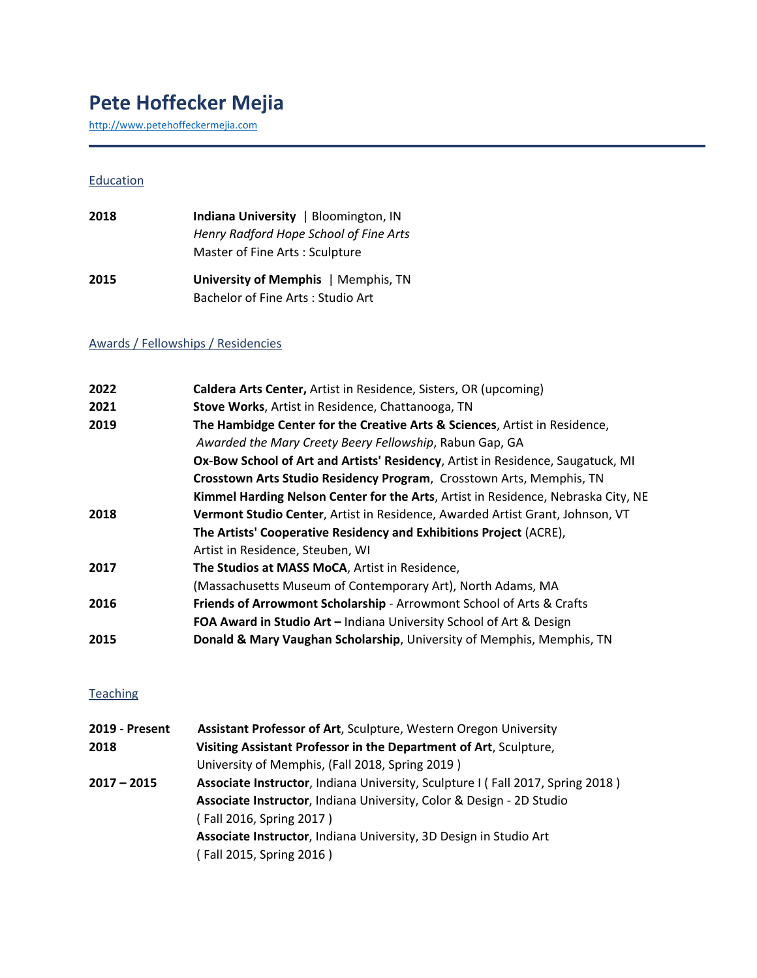# **Pete Hoffecker Mejia**

[http://www.petehoffeckermejia.com](http://www.petehoffeckermejia.com/)

#### **Education**

| 2018 | <b>Indiana University</b>   Bloomington, IN |
|------|---------------------------------------------|
|      | Henry Radford Hope School of Fine Arts      |
|      | Master of Fine Arts: Sculpture              |
| 2015 | University of Memphis   Memphis, TN         |
|      | Bachelor of Fine Arts: Studio Art           |

### Awards / Fellowships / Residencies

| 2022 | Caldera Arts Center, Artist in Residence, Sisters, OR (upcoming)                  |
|------|-----------------------------------------------------------------------------------|
| 2021 | Stove Works, Artist in Residence, Chattanooga, TN                                 |
| 2019 | The Hambidge Center for the Creative Arts & Sciences, Artist in Residence,        |
|      | Awarded the Mary Creety Beery Fellowship, Rabun Gap, GA                           |
|      | Ox-Bow School of Art and Artists' Residency, Artist in Residence, Saugatuck, MI   |
|      | Crosstown Arts Studio Residency Program, Crosstown Arts, Memphis, TN              |
|      | Kimmel Harding Nelson Center for the Arts, Artist in Residence, Nebraska City, NE |
| 2018 | Vermont Studio Center, Artist in Residence, Awarded Artist Grant, Johnson, VT     |
|      | The Artists' Cooperative Residency and Exhibitions Project (ACRE),                |
|      | Artist in Residence, Steuben, WI                                                  |
| 2017 | The Studios at MASS MoCA, Artist in Residence,                                    |
|      | (Massachusetts Museum of Contemporary Art), North Adams, MA                       |
| 2016 | Friends of Arrowmont Scholarship - Arrowmont School of Arts & Crafts              |
|      | FOA Award in Studio Art - Indiana University School of Art & Design               |
| 2015 | Donald & Mary Vaughan Scholarship, University of Memphis, Memphis, TN             |
|      |                                                                                   |

### **Teaching**

| 2019 - Present | Assistant Professor of Art, Sculpture, Western Oregon University               |
|----------------|--------------------------------------------------------------------------------|
| 2018           | Visiting Assistant Professor in the Department of Art, Sculpture,              |
|                | University of Memphis, (Fall 2018, Spring 2019)                                |
| 2017 – 2015    | Associate Instructor, Indiana University, Sculpture I (Fall 2017, Spring 2018) |
|                | Associate Instructor, Indiana University, Color & Design - 2D Studio           |
|                | (Fall 2016, Spring 2017)                                                       |
|                | Associate Instructor, Indiana University, 3D Design in Studio Art              |
|                | (Fall 2015, Spring 2016)                                                       |
|                |                                                                                |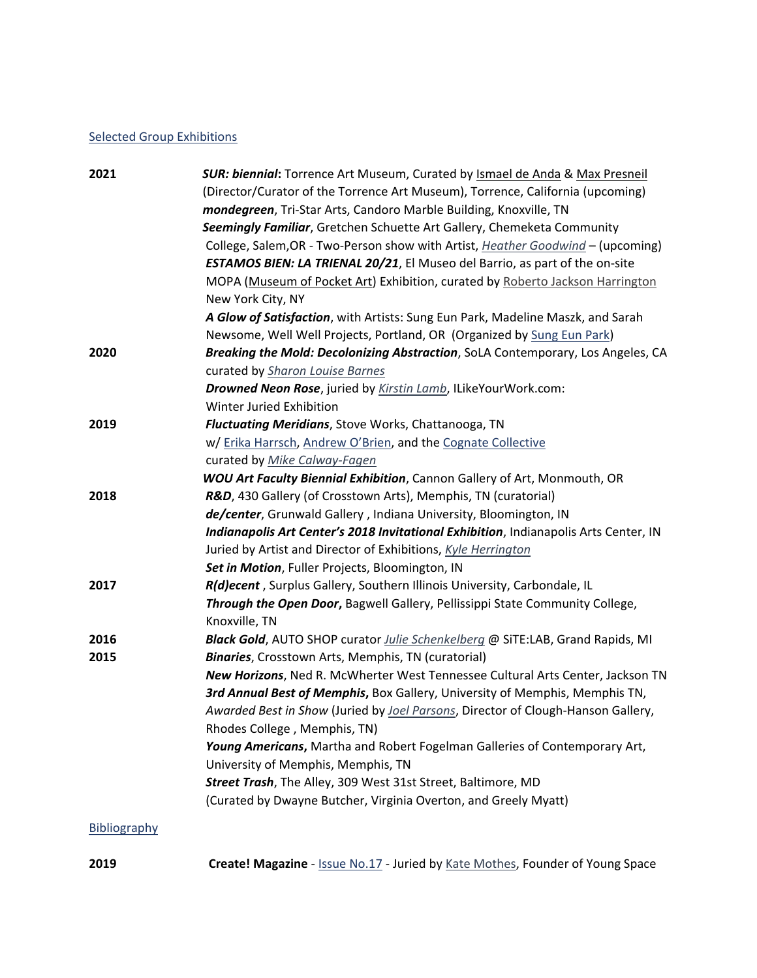### Selected Group Exhibitions

| <b>SUR: biennial:</b> Torrence Art Museum, Curated by Ismael de Anda & Max Presneil  |
|--------------------------------------------------------------------------------------|
| (Director/Curator of the Torrence Art Museum), Torrence, California (upcoming)       |
| mondegreen, Tri-Star Arts, Candoro Marble Building, Knoxville, TN                    |
| Seemingly Familiar, Gretchen Schuette Art Gallery, Chemeketa Community               |
| College, Salem, OR - Two-Person show with Artist, Heather Goodwind - (upcoming)      |
| <b>ESTAMOS BIEN: LA TRIENAL 20/21</b> , El Museo del Barrio, as part of the on-site  |
| MOPA (Museum of Pocket Art) Exhibition, curated by Roberto Jackson Harrington        |
| New York City, NY                                                                    |
| A Glow of Satisfaction, with Artists: Sung Eun Park, Madeline Maszk, and Sarah       |
| Newsome, Well Well Projects, Portland, OR (Organized by Sung Eun Park)               |
| Breaking the Mold: Decolonizing Abstraction, SoLA Contemporary, Los Angeles, CA      |
| curated by Sharon Louise Barnes                                                      |
| Drowned Neon Rose, juried by Kirstin Lamb, ILikeYourWork.com:                        |
| Winter Juried Exhibition                                                             |
| <b>Fluctuating Meridians</b> , Stove Works, Chattanooga, TN                          |
| w/ Erika Harrsch, Andrew O'Brien, and the Cognate Collective                         |
| curated by Mike Calway-Fagen                                                         |
| <b>WOU Art Faculty Biennial Exhibition</b> , Cannon Gallery of Art, Monmouth, OR     |
| R&D, 430 Gallery (of Crosstown Arts), Memphis, TN (curatorial)                       |
| de/center, Grunwald Gallery, Indiana University, Bloomington, IN                     |
| Indianapolis Art Center's 2018 Invitational Exhibition, Indianapolis Arts Center, IN |
| Juried by Artist and Director of Exhibitions, Kyle Herrington                        |
| Set in Motion, Fuller Projects, Bloomington, IN                                      |
| R(d)ecent, Surplus Gallery, Southern Illinois University, Carbondale, IL             |
| Through the Open Door, Bagwell Gallery, Pellissippi State Community College,         |
| Knoxville, TN                                                                        |
| Black Gold, AUTO SHOP curator <i>Julie Schenkelberg</i> @ SiTE:LAB, Grand Rapids, MI |
| <b>Binaries</b> , Crosstown Arts, Memphis, TN (curatorial)                           |
| New Horizons, Ned R. McWherter West Tennessee Cultural Arts Center, Jackson TN       |
| 3rd Annual Best of Memphis, Box Gallery, University of Memphis, Memphis TN,          |
| Awarded Best in Show (Juried by Joel Parsons, Director of Clough-Hanson Gallery,     |
| Rhodes College, Memphis, TN)                                                         |
| Young Americans, Martha and Robert Fogelman Galleries of Contemporary Art,           |
| University of Memphis, Memphis, TN                                                   |
| Street Trash, The Alley, 309 West 31st Street, Baltimore, MD                         |
| (Curated by Dwayne Butcher, Virginia Overton, and Greely Myatt)                      |
|                                                                                      |
|                                                                                      |

**2019 Create! Magazine** - **[Issue No.17](https://createmagazine.com/read/pete-hoffecker-meja)** - Juried by [Kate Mothes,](https://katemothes.net/) Founder of Young Space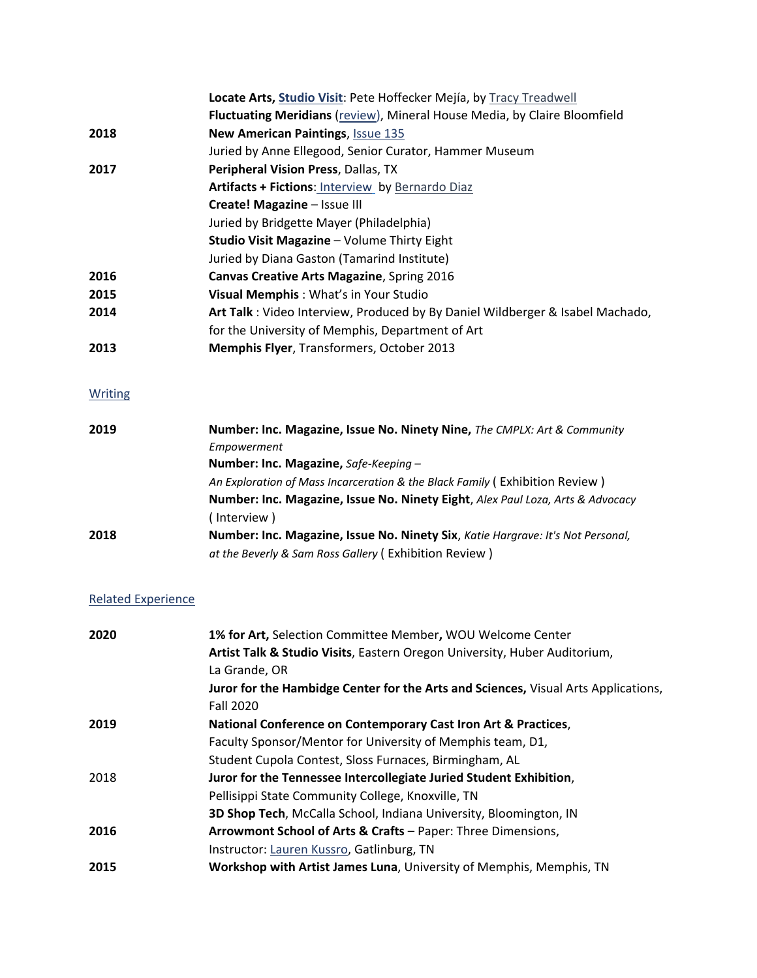|      | Locate Arts, Studio Visit: Pete Hoffecker Mejía, by Tracy Treadwell           |
|------|-------------------------------------------------------------------------------|
|      | Fluctuating Meridians (review), Mineral House Media, by Claire Bloomfield     |
| 2018 | New American Paintings, Issue 135                                             |
|      | Juried by Anne Ellegood, Senior Curator, Hammer Museum                        |
| 2017 | Peripheral Vision Press, Dallas, TX                                           |
|      | Artifacts + Fictions: Interview by Bernardo Diaz                              |
|      | Create! Magazine - Issue III                                                  |
|      | Juried by Bridgette Mayer (Philadelphia)                                      |
|      | Studio Visit Magazine - Volume Thirty Eight                                   |
|      | Juried by Diana Gaston (Tamarind Institute)                                   |
| 2016 | Canvas Creative Arts Magazine, Spring 2016                                    |
| 2015 | Visual Memphis: What's in Your Studio                                         |
| 2014 | Art Talk: Video Interview, Produced by By Daniel Wildberger & Isabel Machado, |
|      | for the University of Memphis, Department of Art                              |
| 2013 | Memphis Flyer, Transformers, October 2013                                     |
|      |                                                                               |

### **Writing**

| 2019 | Number: Inc. Magazine, Issue No. Ninety Nine, The CMPLX: Art & Community        |
|------|---------------------------------------------------------------------------------|
|      | Empowerment                                                                     |
|      | Number: Inc. Magazine, Safe-Keeping -                                           |
|      | An Exploration of Mass Incarceration & the Black Family (Exhibition Review)     |
|      | Number: Inc. Magazine, Issue No. Ninety Eight, Alex Paul Loza, Arts & Advocacy  |
|      | (Interview)                                                                     |
| 2018 | Number: Inc. Magazine, Issue No. Ninety Six, Katie Hargrave: It's Not Personal, |
|      | at the Beverly & Sam Ross Gallery (Exhibition Review)                           |

## Related Experience

| 2020 | 1% for Art, Selection Committee Member, WOU Welcome Center                         |
|------|------------------------------------------------------------------------------------|
|      | Artist Talk & Studio Visits, Eastern Oregon University, Huber Auditorium,          |
|      | La Grande, OR                                                                      |
|      | Juror for the Hambidge Center for the Arts and Sciences, Visual Arts Applications, |
|      | <b>Fall 2020</b>                                                                   |
| 2019 | National Conference on Contemporary Cast Iron Art & Practices,                     |
|      | Faculty Sponsor/Mentor for University of Memphis team, D1,                         |
|      | Student Cupola Contest, Sloss Furnaces, Birmingham, AL                             |
| 2018 | Juror for the Tennessee Intercollegiate Juried Student Exhibition,                 |
|      | Pellisippi State Community College, Knoxville, TN                                  |
|      | 3D Shop Tech, McCalla School, Indiana University, Bloomington, IN                  |
| 2016 | Arrowmont School of Arts & Crafts - Paper: Three Dimensions,                       |
|      | Instructor: Lauren Kussro, Gatlinburg, TN                                          |
| 2015 | Workshop with Artist James Luna, University of Memphis, Memphis, TN                |